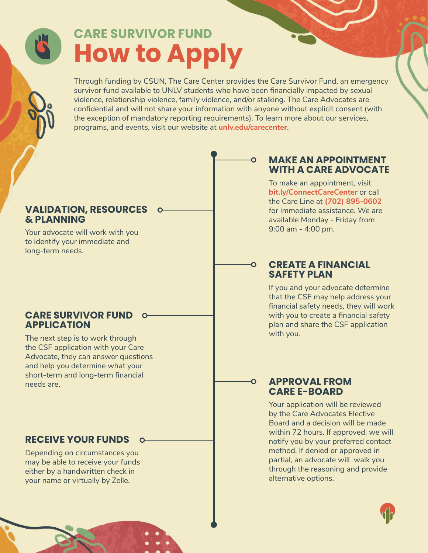# **CARE SURVIVOR FUND How to Apply**

Through funding by CSUN, The Care Center provides the Care Survivor Fund, an emergency survivor fund available to UNLV students who have been financially impacted by sexual violence, relationship violence, family violence, and/or stalking. The Care Advocates are confidential and will not share your information with anyone without explicit consent (with the exception of mandatory reporting requirements). To learn more about our services, programs, and events, visit our website at **[unlv.edu/carecenter.](https://unlv.edu/carecenter)**

#### **VALIDATION, RESOURCES & PLANNING**

Your advocate will work with you to identify your immediate and long-term needs.

## **CARE SURVIVOR FUND APPLICATION**

The next step is to work through the CSF application with your Care Advocate, they can answer questions and help you determine what your short-term and long-term financial needs are.

# **RECEIVE YOUR FUNDS**

Depending on circumstances you may be able to receive your funds either by a handwritten check in your name or virtually by Zelle.

# **MAKE AN APPOINTMENT WITH A CARE ADVOCATE**

To make an appointment, visit **[bit.ly/ConnectCareCenter](https://bit.ly/ConnectCareCenter)** or call the Care Line at **(702) 895-0602** for immediate assistance. We are available Monday - Friday from 9:00 am - 4:00 pm.

### **CREATE A FINANCIAL SAFETY PLAN**

If you and your advocate determine that the CSF may help address your financial safety needs, they will work with you to create a financial safety plan and share the CSF application with you.

### **APPROVAL FROM CARE E-BOARD**

Your application will be reviewed by the Care Advocates Elective Board and a decision will be made within 72 hours. If approved, we will notify you by your preferred contact method. If denied or approved in partial, an advocate will walk you through the reasoning and provide alternative options.